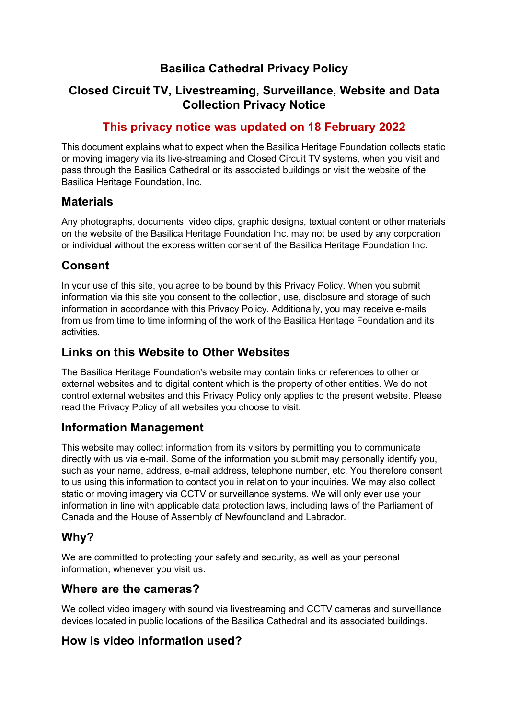## **Basilica Cathedral Privacy Policy**

## **Closed Circuit TV, Livestreaming, Surveillance, Website and Data Collection Privacy Notice**

## **This privacy notice was updated on 18 February 2022**

This document explains what to expect when the Basilica Heritage Foundation collects static or moving imagery via its live-streaming and Closed Circuit TV systems, when you visit and pass through the Basilica Cathedral or its associated buildings or visit the website of the Basilica Heritage Foundation, Inc.

#### **Materials**

Any photographs, documents, video clips, graphic designs, textual content or other materials on the website of the Basilica Heritage Foundation Inc. may not be used by any corporation or individual without the express written consent of the Basilica Heritage Foundation Inc.

## **Consent**

In your use of this site, you agree to be bound by this Privacy Policy. When you submit information via this site you consent to the collection, use, disclosure and storage of such information in accordance with this Privacy Policy. Additionally, you may receive e-mails from us from time to time informing of the work of the Basilica Heritage Foundation and its activities.

## **Links on this Website to Other Websites**

The Basilica Heritage Foundation's website may contain links or references to other or external websites and to digital content which is the property of other entities. We do not control external websites and this Privacy Policy only applies to the present website. Please read the Privacy Policy of all websites you choose to visit.

## **Information Management**

This website may collect information from its visitors by permitting you to communicate directly with us via e-mail. Some of the information you submit may personally identify you, such as your name, address, e-mail address, telephone number, etc. You therefore consent to us using this information to contact you in relation to your inquiries. We may also collect static or moving imagery via CCTV or surveillance systems. We will only ever use your information in line with applicable data protection laws, including laws of the Parliament of Canada and the House of Assembly of Newfoundland and Labrador.

## **Why?**

We are committed to protecting your safety and security, as well as your personal information, whenever you visit us.

#### **Where are the cameras?**

We collect video imagery with sound via livestreaming and CCTV cameras and surveillance devices located in public locations of the Basilica Cathedral and its associated buildings.

## **How is video information used?**